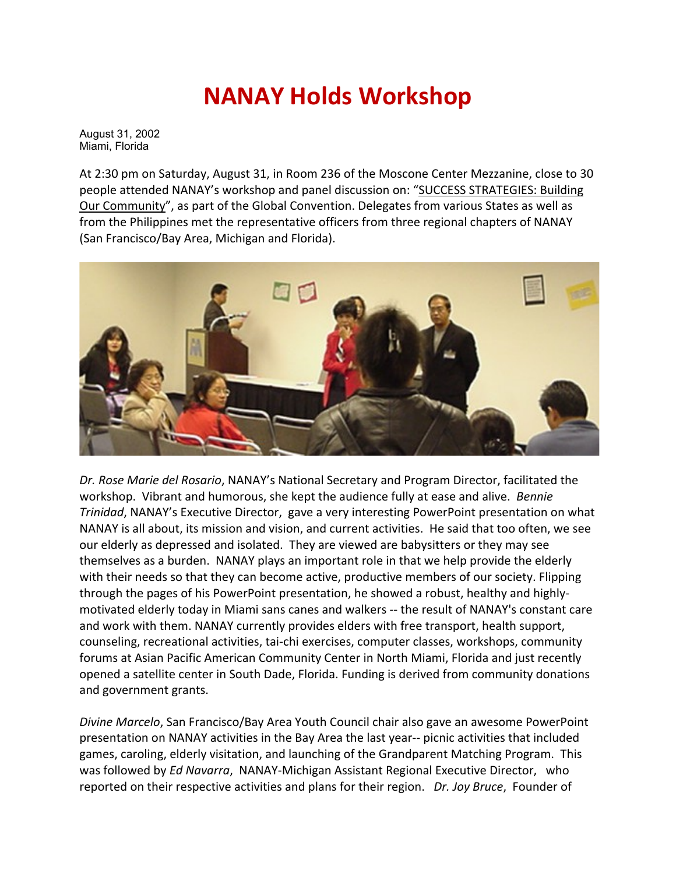## **NANAY Holds Workshop**

August 31, 2002 Miami, Florida

At 2:30 pm on Saturday, August 31, in Room 236 of the Moscone Center Mezzanine, close to 30 people attended NANAY's workshop and panel discussion on: "SUCCESS STRATEGIES: Building Our Community", as part of the Global Convention. Delegates from various States as well as from the Philippines met the representative officers from three regional chapters of NANAY (San Francisco/Bay Area, Michigan and Florida).



*Dr. Rose Marie del Rosario*, NANAY's National Secretary and Program Director, facilitated the workshop. Vibrant and humorous, she kept the audience fully at ease and alive. *Bennie Trinidad*, NANAY's Executive Director, gave a very interesting PowerPoint presentation on what NANAY is all about, its mission and vision, and current activities. He said that too often, we see our elderly as depressed and isolated. They are viewed are babysitters or they may see themselves as a burden. NANAY plays an important role in that we help provide the elderly with their needs so that they can become active, productive members of our society. Flipping through the pages of his PowerPoint presentation, he showed a robust, healthy and highlymotivated elderly today in Miami sans canes and walkers -- the result of NANAY's constant care and work with them. NANAY currently provides elders with free transport, health support, counseling, recreational activities, tai-chi exercises, computer classes, workshops, community forums at Asian Pacific American Community Center in North Miami, Florida and just recently opened a satellite center in South Dade, Florida. Funding is derived from community donations and government grants.

*Divine Marcelo*, San Francisco/Bay Area Youth Council chair also gave an awesome PowerPoint presentation on NANAY activities in the Bay Area the last year-- picnic activities that included games, caroling, elderly visitation, and launching of the Grandparent Matching Program. This was followed by *Ed Navarra*, NANAY-Michigan Assistant Regional Executive Director, who reported on their respective activities and plans for their region. *Dr. Joy Bruce*, Founder of